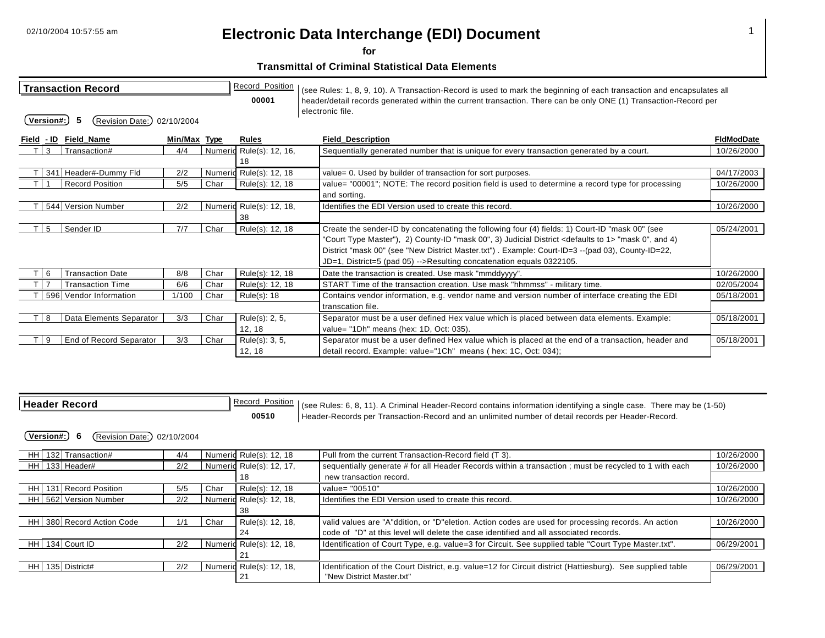**for** 

|                   | <b>Transaction Record</b> |              |      | Record_Position          | (see Rules: 1, 8, 9, 10). A Transaction-Record is used to mark the beginning of each transaction and encapsulates all                |                   |
|-------------------|---------------------------|--------------|------|--------------------------|--------------------------------------------------------------------------------------------------------------------------------------|-------------------|
| Version#:         | (Revision Date:)          | 02/10/2004   |      | 00001                    | header/detail records generated within the current transaction. There can be only ONE (1) Transaction-Record per<br>electronic file. |                   |
| <u>Field - ID</u> | Field_Name                | Min/Max Type |      | <b>Rules</b>             | <b>Field_Description</b>                                                                                                             | <b>FidModDate</b> |
| 3                 | Transaction#              | 4/4          |      | Numeric Rule(s): 12, 16, | Sequentially generated number that is unique for every transaction generated by a court.                                             | 10/26/2000        |
|                   |                           |              |      | 18                       |                                                                                                                                      |                   |
|                   | 341 Header#-Dummy Fld     | 2/2          |      | Numeric Rule(s): 12, 18  | value= 0. Used by builder of transaction for sort purposes.                                                                          | 04/17/2003        |
|                   | <b>Record Position</b>    | 5/5          | Char | Rule(s): 12, 18          | value= "00001"; NOTE: The record position field is used to determine a record type for processing                                    | 10/26/2000        |
|                   |                           |              |      |                          | and sorting.                                                                                                                         |                   |
|                   | 544 Version Number        | 2/2          |      | Numeric Rule(s): 12, 18, | Identifies the EDI Version used to create this record.                                                                               | 10/26/2000        |
|                   |                           |              |      | 38                       |                                                                                                                                      |                   |
| 5                 | Sender ID                 | 7/7          | Char | Rule(s): 12, 18          | Create the sender-ID by concatenating the following four (4) fields: 1) Court-ID "mask 00" (see                                      | 05/24/2001        |
|                   |                           |              |      |                          | "Court Type Master"), 2) County-ID "mask 00", 3) Judicial District <defaults 1="" to=""> "mask 0", and 4)</defaults>                 |                   |
|                   |                           |              |      |                          | District "mask 00" (see "New District Master.txt") . Example: Court-ID=3 --(pad 03), County-ID=22,                                   |                   |
|                   |                           |              |      |                          | JD=1, District=5 (pad 05) -->Resulting concatenation equals 0322105.                                                                 |                   |
| 6                 | <b>Transaction Date</b>   | 8/8          | Char | Rule(s): 12, 18          | Date the transaction is created. Use mask "mmddyyyy".                                                                                | 10/26/2000        |
|                   | <b>Transaction Time</b>   | 6/6          | Char | Rule(s): 12, 18          | START Time of the transaction creation. Use mask "hhmmss" - military time.                                                           | 02/05/2004        |
|                   | 596 Vendor Information    | 1/100        | Char | Rule(s): 18              | Contains vendor information, e.g. vendor name and version number of interface creating the EDI                                       | 05/18/2001        |
|                   |                           |              |      |                          | transcation file.                                                                                                                    |                   |
| 8                 | Data Elements Separator   | 3/3          | Char | Rule(s): 2, 5,           | Separator must be a user defined Hex value which is placed between data elements. Example:                                           | 05/18/2001        |
|                   |                           |              |      | 12, 18                   | value= "1Dh" means (hex: 1D, Oct: 035).                                                                                              |                   |
| 9                 | End of Record Separator   | 3/3          | Char | Rule(s): 3, 5,           | Separator must be a user defined Hex value which is placed at the end of a transaction, header and                                   | 05/18/2001        |
|                   |                           |              |      | 12, 18                   | detail record. Example: value="1Ch" means (hex: 1C, Oct: 034);                                                                       |                   |

| l Header Record                           |     |      | Record_Position<br>00510 | (see Rules: 6, 8, 11). A Criminal Header-Record contains information identifying a single case. There may be (1-50)<br>Header-Records per Transaction-Record and an unlimited number of detail records per Header-Record. |            |  |  |  |  |
|-------------------------------------------|-----|------|--------------------------|---------------------------------------------------------------------------------------------------------------------------------------------------------------------------------------------------------------------------|------------|--|--|--|--|
| Version#:)<br>(Revision Date:) 02/10/2004 |     |      |                          |                                                                                                                                                                                                                           |            |  |  |  |  |
| HH 132 Transaction#                       | 4/4 |      | Numeric Rule(s): 12, 18  | Pull from the current Transaction-Record field (T 3).                                                                                                                                                                     | 10/26/2000 |  |  |  |  |
| HH 133 Header#                            | 2/2 |      | Numeric Rule(s): 12, 17, | sequentially generate # for all Header Records within a transaction ; must be recycled to 1 with each                                                                                                                     | 10/26/2000 |  |  |  |  |
|                                           |     |      |                          | new transaction record.                                                                                                                                                                                                   |            |  |  |  |  |
| 131 Record Position<br>HH                 | 5/5 | Char | Rule(s): 12, 18          | value= "00510"                                                                                                                                                                                                            | 10/26/2000 |  |  |  |  |
| HH 562 Version Number                     | 2/2 |      | Numeric Rule(s): 12, 18, | Identifies the EDI Version used to create this record.                                                                                                                                                                    | 10/26/2000 |  |  |  |  |
|                                           |     |      | 38                       |                                                                                                                                                                                                                           |            |  |  |  |  |
| HH 380 Record Action Code                 | 1/1 | Char | Rule(s): 12, 18,         | valid values are "A"ddition, or "D"eletion. Action codes are used for processing records. An action                                                                                                                       | 10/26/2000 |  |  |  |  |
|                                           |     |      | 24                       | code of "D" at this level will delete the case identified and all associated records.                                                                                                                                     |            |  |  |  |  |
| HH 134 Court ID                           | 2/2 |      | Numeric Rule(s): 12, 18, | Identification of Court Type, e.g. value=3 for Circuit. See supplied table "Court Type Master.txt".                                                                                                                       | 06/29/2001 |  |  |  |  |
|                                           |     |      | 21                       |                                                                                                                                                                                                                           |            |  |  |  |  |
| HH 135 District#                          | 2/2 |      | Numeric Rule(s): 12, 18, | Identification of the Court District, e.g. value=12 for Circuit district (Hattiesburg).<br>See supplied table                                                                                                             | 06/29/2001 |  |  |  |  |
|                                           |     |      | 21                       | "New District Master.txt"                                                                                                                                                                                                 |            |  |  |  |  |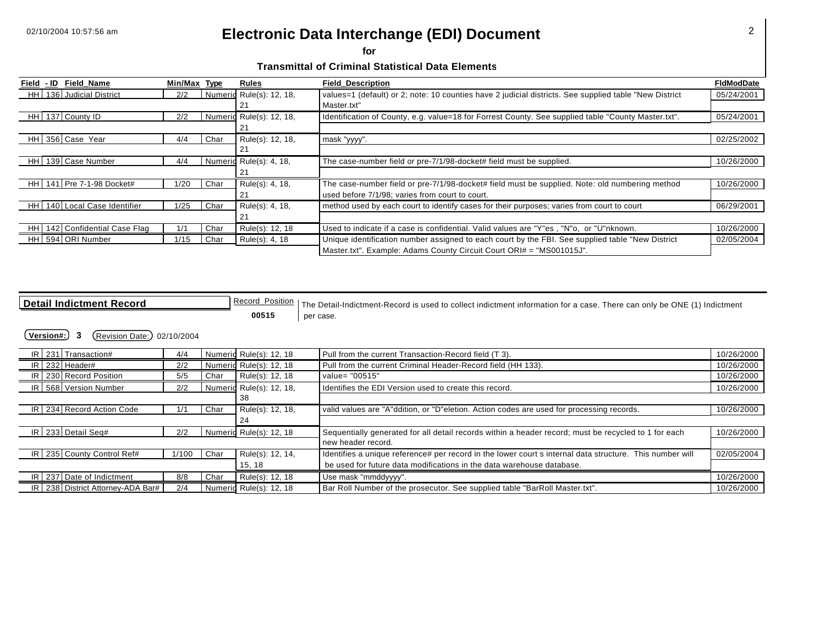**for** 

**Transmittal of Criminal Statistical Data Elements** 

| Field - ID | <b>Field Name</b>             | Min/Max Type |      | Rules                    | <b>Field Description</b>                                                                               | <b>FidModDate</b> |
|------------|-------------------------------|--------------|------|--------------------------|--------------------------------------------------------------------------------------------------------|-------------------|
| HH I       | 136 Judicial District         | 2/2          |      | Numeric Rule(s): 12, 18, | values=1 (default) or 2; note: 10 counties have 2 judicial districts. See supplied table "New District | 05/24/2001        |
|            |                               |              |      | 21                       | Master.txt"                                                                                            |                   |
|            | HH 137 County ID              | 2/2          |      | Numeric Rule(s): 12, 18, | Identification of County, e.g. value=18 for Forrest County. See supplied table "County Master.txt".    | 05/24/2001        |
|            |                               |              |      | 21                       |                                                                                                        |                   |
|            | HH 356 Case Year              | 4/4          | Char | Rule(s): 12, 18,         | mask "yyyy".                                                                                           | 02/25/2002        |
|            |                               |              |      | 21                       |                                                                                                        |                   |
| HH I       | 139 Case Number               | 4/4          |      | Numeric Rule(s): 4, 18,  | The case-number field or pre-7/1/98-docket# field must be supplied.                                    | 10/26/2000        |
|            |                               |              |      | 21                       |                                                                                                        |                   |
|            | HH 141 Pre 7-1-98 Docket#     | 1/20         | Char | Rule(s): 4, 18,          | The case-number field or pre-7/1/98-docket# field must be supplied. Note: old numbering method         | 10/26/2000        |
|            |                               |              |      | 21                       | used before 7/1/98; varies from court to court.                                                        |                   |
| HH I       | 140 Local Case Identifier     | 1/25         | Char | Rule(s): 4, 18,          | method used by each court to identify cases for their purposes; varies from court to court             | 06/29/2001        |
|            |                               |              |      | 21                       |                                                                                                        |                   |
|            | HH 142 Confidential Case Flag | 1/1          | Char | Rule(s): 12, 18          | Used to indicate if a case is confidential. Valid values are "Y"es, "N"o, or "U"nknown.                | 10/26/2000        |
|            | HH 594 ORI Number             | 1/15         | Char | Rule(s): 4, 18           | Unique identification number assigned to each court by the FBI. See supplied table "New District"      | 02/05/2004        |
|            |                               |              |      |                          | Master.txt". Example: Adams County Circuit Court ORI# = "MS001015J".                                   |                   |

**Detail Indictment Record Record Record Position** The Detail-Indictment-Record is used to collect indictment information for a case. There can only be ONE (1) Indictment **00515** per case.

| IR 231 Transaction#                   | 4/4   |      | Numeric Rule(s): 12, 18  | Pull from the current Transaction-Record field (T 3).                                                    | 10/26/2000 |
|---------------------------------------|-------|------|--------------------------|----------------------------------------------------------------------------------------------------------|------------|
| $IR$ 232 Header#                      | 2/2   |      | Numeric Rule(s): 12, 18  | Pull from the current Criminal Header-Record field (HH 133).                                             | 10/26/2000 |
| IR 230 Record Position                | 5/5   | Char | Rule(s): 12, 18          | value= "00515"                                                                                           | 10/26/2000 |
| IR 568 Version Number                 | 2/2   |      | Numeric Rule(s): 12, 18, | Identifies the EDI Version used to create this record.                                                   | 10/26/2000 |
|                                       |       |      | 38                       |                                                                                                          |            |
| IR 234 Record Action Code             | 1/1   | Char | Rule(s): 12, 18,         | valid values are "A"ddition, or "D"eletion. Action codes are used for processing records.                | 10/26/2000 |
|                                       |       |      | 24                       |                                                                                                          |            |
| IR 233 Detail Seq#                    | 2/2   |      | Numeric Rule(s): 12, 18  | Sequentially generated for all detail records within a header record; must be recycled to 1 for each     | 10/26/2000 |
|                                       |       |      |                          | new header record.                                                                                       |            |
| IR 235 County Control Ref#            | 1/100 | Char | Rule(s): 12, 14,         | Identifies a unique reference# per record in the lower court s internal data structure. This number will | 02/05/2004 |
|                                       |       |      | 15, 18                   | be used for future data modifications in the data warehouse database.                                    |            |
| IR 237 Date of Indictment             | 8/8   | Char | Rule(s): 12, 18          | Use mask "mmddyyyy".                                                                                     | 10/26/2000 |
| IR   238   District Attorney-ADA Bar# | 2/4   |      | Numeric Rule(s): 12, 18  | Bar Roll Number of the prosecutor. See supplied table "BarRoll Master.txt".                              | 10/26/2000 |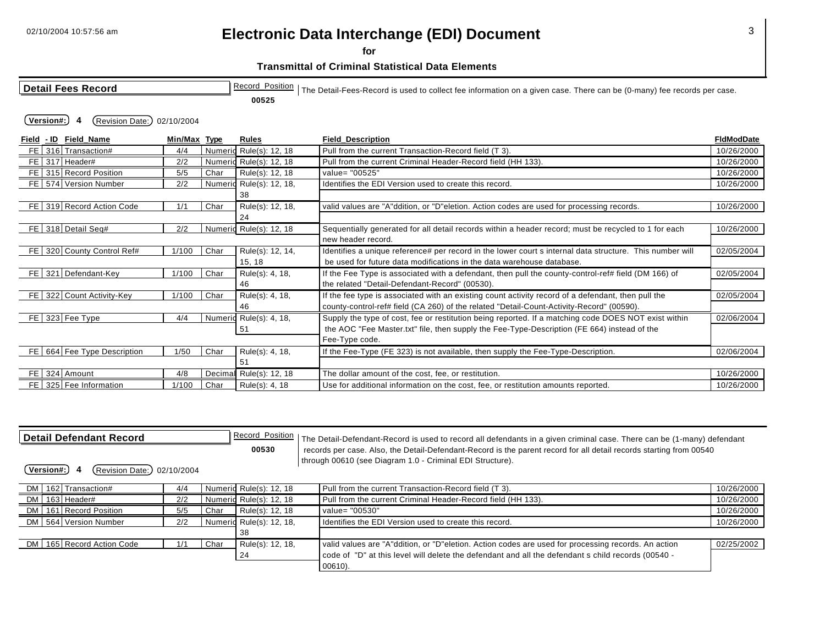**Transmittal of Criminal Statistical Data Elements** 

**for** 

| <b>Detail Fees Record</b>                |              |      |                          | Record_Position   The Detail-Fees-Record is used to collect fee information on a given case. There can be (0-many) fee records per case. |                   |  |  |  |  |
|------------------------------------------|--------------|------|--------------------------|------------------------------------------------------------------------------------------------------------------------------------------|-------------------|--|--|--|--|
|                                          |              |      | 00525                    |                                                                                                                                          |                   |  |  |  |  |
| Version#:<br>(Revision Date:) 02/10/2004 |              |      |                          |                                                                                                                                          |                   |  |  |  |  |
| Field - ID Field Name                    | Min/Max Type |      | <b>Rules</b>             | <b>Field Description</b>                                                                                                                 | <b>FIdModDate</b> |  |  |  |  |
| FE 316 Transaction#                      | 4/4          |      | Numeric Rule(s): 12, 18  | Pull from the current Transaction-Record field (T 3).                                                                                    | 10/26/2000        |  |  |  |  |
| FE 317 Header#                           | 2/2          |      | Numeric Rule(s): 12, 18  | Pull from the current Criminal Header-Record field (HH 133).                                                                             | 10/26/2000        |  |  |  |  |
| FE 315 Record Position                   | 5/5          | Char | Rule(s): 12, 18          | value= "00525"                                                                                                                           | 10/26/2000        |  |  |  |  |
| FE 574 Version Number                    | 2/2          |      | Numeric Rule(s): 12, 18, | Identifies the EDI Version used to create this record.                                                                                   | 10/26/2000        |  |  |  |  |
|                                          |              |      | 38                       |                                                                                                                                          |                   |  |  |  |  |
| FE 319 Record Action Code                | 1/1          | Char | Rule(s): 12, 18,         | valid values are "A"ddition, or "D"eletion. Action codes are used for processing records.                                                | 10/26/2000        |  |  |  |  |
|                                          |              |      | 24                       |                                                                                                                                          |                   |  |  |  |  |
| FE 318 Detail Seq#                       | 2/2          |      | Numeric Rule(s): 12, 18  | Sequentially generated for all detail records within a header record; must be recycled to 1 for each                                     | 10/26/2000        |  |  |  |  |
|                                          |              |      |                          | new header record.                                                                                                                       |                   |  |  |  |  |
| FE 320 County Control Ref#               | 1/100        | Char | Rule(s): 12, 14,         | Identifies a unique reference# per record in the lower court s internal data structure. This number will                                 | 02/05/2004        |  |  |  |  |
|                                          |              |      | 15, 18                   | be used for future data modifications in the data warehouse database.                                                                    |                   |  |  |  |  |
| FE 321 Defendant-Key                     | 1/100        | Char | Rule(s): 4, 18,          | If the Fee Type is associated with a defendant, then pull the county-control-ref# field (DM 166) of                                      | 02/05/2004        |  |  |  |  |
|                                          |              |      | 46                       | the related "Detail-Defendant-Record" (00530).                                                                                           |                   |  |  |  |  |
| FE 322 Count Activity-Key                | 1/100        | Char | Rule(s): 4, 18,          | If the fee type is associated with an existing count activity record of a defendant, then pull the                                       | 02/05/2004        |  |  |  |  |
|                                          |              |      | 46                       | county-control-ref# field (CA 260) of the related "Detail-Count-Activity-Record" (00590).                                                |                   |  |  |  |  |
| FE 323 Fee Type                          | 4/4          |      | Numeric Rule(s): 4, 18,  | Supply the type of cost, fee or restitution being reported. If a matching code DOES NOT exist within                                     | 02/06/2004        |  |  |  |  |
|                                          |              |      | 51                       | the AOC "Fee Master.txt" file, then supply the Fee-Type-Description (FE 664) instead of the                                              |                   |  |  |  |  |
|                                          |              |      |                          | Fee-Type code.                                                                                                                           |                   |  |  |  |  |
| FE 664 Fee Type Description              | 1/50         | Char | Rule(s): 4, 18,          | If the Fee-Type (FE 323) is not available, then supply the Fee-Type-Description.                                                         | 02/06/2004        |  |  |  |  |
|                                          |              |      | 51                       |                                                                                                                                          |                   |  |  |  |  |
| FE 324 Amount                            | 4/8          |      | Decimal Rule(s): 12, 18  | The dollar amount of the cost, fee, or restitution.                                                                                      | 10/26/2000        |  |  |  |  |
| FE 325 Fee Information                   | 1/100        | Char | Rule(s): 4, 18           | Use for additional information on the cost, fee, or restitution amounts reported.                                                        | 10/26/2000        |  |  |  |  |

| l Detail Defendant Record                                                                                |     |      | Record_Position<br>00530 |  | The Detail-Defendant-Record is used to record all defendants in a given criminal case. There can be (1-many) defendant<br>records per case. Also, the Detail-Defendant-Record is the parent record for all detail records starting from 00540 |            |  |  |
|----------------------------------------------------------------------------------------------------------|-----|------|--------------------------|--|-----------------------------------------------------------------------------------------------------------------------------------------------------------------------------------------------------------------------------------------------|------------|--|--|
| through 00610 (see Diagram 1.0 - Criminal EDI Structure).<br>(Revision Date:)<br>Version#:<br>02/10/2004 |     |      |                          |  |                                                                                                                                                                                                                                               |            |  |  |
| DM   162 Transaction#                                                                                    | 4/4 |      | Numeric Rule(s): 12, 18  |  | Pull from the current Transaction-Record field (T 3).                                                                                                                                                                                         | 10/26/2000 |  |  |
| DM 163 Header#                                                                                           | 2/2 |      | Numeric Rule(s): 12, 18  |  | Pull from the current Criminal Header-Record field (HH 133).                                                                                                                                                                                  | 10/26/2000 |  |  |
| DM 161 Record Position                                                                                   | 5/5 | Char | Rule(s): 12, 18          |  | value= "00530"                                                                                                                                                                                                                                | 10/26/2000 |  |  |
| DM 564 Version Number                                                                                    | 2/2 |      | Numeric Rule(s): 12, 18, |  | Identifies the EDI Version used to create this record.                                                                                                                                                                                        | 10/26/2000 |  |  |
|                                                                                                          |     |      | 38                       |  |                                                                                                                                                                                                                                               |            |  |  |
| DM   165   Record Action Code                                                                            | 1/1 | Char | Rule(s): 12, 18,         |  | valid values are "A"ddition, or "D"eletion. Action codes are used for processing records. An action                                                                                                                                           | 02/25/2002 |  |  |
|                                                                                                          |     |      | 24                       |  | code of "D" at this level will delete the defendant and all the defendant s child records (00540 -                                                                                                                                            |            |  |  |
|                                                                                                          |     |      |                          |  | $00610$ ).                                                                                                                                                                                                                                    |            |  |  |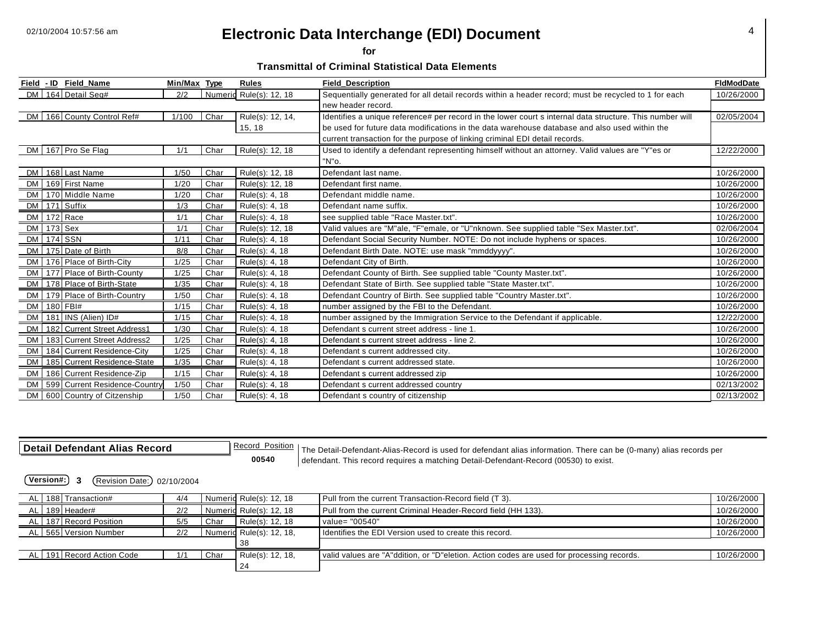**for** 

**Transmittal of Criminal Statistical Data Elements** 

|           |              | Field - ID Field Name              | Min/Max Type |      | <b>Rules</b>            | <b>Field_Description</b>                                                                                 | <b>FIdModDate</b> |
|-----------|--------------|------------------------------------|--------------|------|-------------------------|----------------------------------------------------------------------------------------------------------|-------------------|
|           |              | DM 164 Detail Seq#                 | 2/2          |      | Numeric Rule(s): 12, 18 | Sequentially generated for all detail records within a header record; must be recycled to 1 for each     | 10/26/2000        |
|           |              |                                    |              |      |                         | new header record.                                                                                       |                   |
|           |              | DM   166 County Control Ref#       | 1/100        | Char | Rule(s): 12, 14,        | Identifies a unique reference# per record in the lower court s internal data structure. This number will | 02/05/2004        |
|           |              |                                    |              |      | 15, 18                  | be used for future data modifications in the data warehouse database and also used within the            |                   |
|           |              |                                    |              |      |                         | current transaction for the purpose of linking criminal EDI detail records.                              |                   |
|           |              | DM 167 Pro Se Flag                 | 1/1          | Char | Rule(s): 12, 18         | Used to identify a defendant representing himself without an attorney. Valid values are "Y" es or        | 12/22/2000        |
|           |              |                                    |              |      |                         | "N"o.                                                                                                    |                   |
|           |              | DM   168 Last Name                 | 1/50         | Char | Rule(s): 12, 18         | Defendant last name.                                                                                     | 10/26/2000        |
|           |              | DM   169 First Name                | 1/20         | Char | Rule(s): 12, 18         | Defendant first name.                                                                                    | 10/26/2000        |
|           |              | DM 170 Middle Name                 | 1/20         | Char | Rule(s): 4, 18          | Defendant middle name.                                                                                   | 10/26/2000        |
|           |              | DM 171 Suffix                      | 1/3          | Char | Rule(s): 4, 18          | Defendant name suffix.                                                                                   | 10/26/2000        |
|           |              | DM   172 Race                      | 1/1          | Char | Rule(s): 4, 18          | see supplied table "Race Master.txt".                                                                    | 10/26/2000        |
|           | DM   173 Sex |                                    | 1/1          | Char | Rule(s): 12, 18         | Valid values are "M"ale, "F"emale, or "U"nknown. See supplied table "Sex Master.txt".                    | 02/06/2004        |
|           |              | DM 174 SSN                         | 1/11         | Char | Rule(s): 4, 18          | Defendant Social Security Number. NOTE: Do not include hyphens or spaces.                                | 10/26/2000        |
|           |              | DM 175 Date of Birth               | 8/8          | Char | Rule(s): 4, 18          | Defendant Birth Date. NOTE: use mask "mmddyyyy".                                                         | 10/26/2000        |
|           |              | DM 176 Place of Birth-City         | $1/25$       | Char | Rule(s): 4, 18          | Defendant City of Birth.                                                                                 | 10/26/2000        |
|           |              | DM   177   Place of Birth-County   | 1/25         | Char | Rule(s): 4, 18          | Defendant County of Birth. See supplied table "County Master.txt".                                       | 10/26/2000        |
|           |              | DM 178 Place of Birth-State        | 1/35         | Char | Rule(s): 4, 18          | Defendant State of Birth. See supplied table "State Master.txt".                                         | 10/26/2000        |
|           |              | DM   179   Place of Birth-Country  | 1/50         | Char | Rule(s): 4, 18          | Defendant Country of Birth. See supplied table "Country Master.txt".                                     | 10/26/2000        |
|           |              | DM 180 FBI#                        | 1/15         | Char | Rule(s): 4, 18          | number assigned by the FBI to the Defendant.                                                             | 10/26/2000        |
|           |              | DM   181   INS (Alien) ID#         | 1/15         | Char | Rule(s): 4, 18          | number assigned by the Immigration Service to the Defendant if applicable.                               | 12/22/2000        |
|           |              | DM   182 Current Street Address1   | 1/30         | Char | Rule(s): 4, 18          | Defendant s current street address - line 1.                                                             | 10/26/2000        |
|           |              | DM 183 Current Street Address2     | 1/25         | Char | Rule(s): 4, 18          | Defendant s current street address - line 2.                                                             | 10/26/2000        |
|           |              | DM   184 Current Residence-City    | 1/25         | Char | Rule(s): 4, 18          | Defendant s current addressed city.                                                                      | 10/26/2000        |
|           |              | DM   185   Current Residence-State | 1/35         | Char | Rule(s): 4, 18          | Defendant s current addressed state.                                                                     | 10/26/2000        |
| <b>DM</b> |              | 186 Current Residence-Zip          | 1/15         | Char | Rule(s): 4, 18          | Defendant s current addressed zip                                                                        | 10/26/2000        |
|           |              | DM   599 Current Residence-Country | 1/50         | Char | Rule(s): 4, 18          | Defendant s current addressed country                                                                    | 02/13/2002        |
|           |              | DM 600 Country of Citzenship       | 1/50         | Char | Rule(s): 4, 18          | Defendant s country of citizenship                                                                       | 02/13/2002        |

| Detail Defendant Alias Record | Position<br>Record | Detail-Defendant-Alias-Record<br>⊺he |
|-------------------------------|--------------------|--------------------------------------|
|                               |                    |                                      |

is used for defendant alias information. There can be (0-many) alias records per **00540** defendant. This record requires a matching Detail-Defendant-Record (00530) to exist.

| AL I | 188 Transaction#          | 4/4 |      | Numeric Rule(s): 12, 18  | Pull from the current Transaction-Record field (T 3).                                     | 10/26/2000 |
|------|---------------------------|-----|------|--------------------------|-------------------------------------------------------------------------------------------|------------|
| AL   | 189 Header#               | 2/2 |      | Numeric Rule(s): 12, 18  | Pull from the current Criminal Header-Record field (HH 133).                              | 10/26/2000 |
|      | AL 187 Record Position    | 5/5 | Char | Rule(s): 12, 18          | value= "00540"                                                                            | 10/26/2000 |
|      | AL 565 Version Number     | 2/2 |      | Numeric Rule(s): 12, 18, | Identifies the EDI Version used to create this record.                                    | 10/26/2000 |
|      |                           |     |      | -38                      |                                                                                           |            |
|      | AL 191 Record Action Code | 1/1 | Char | Rule(s): 12, 18,         | valid values are "A"ddition, or "D"eletion. Action codes are used for processing records. | 10/26/2000 |
|      |                           |     |      | 24                       |                                                                                           |            |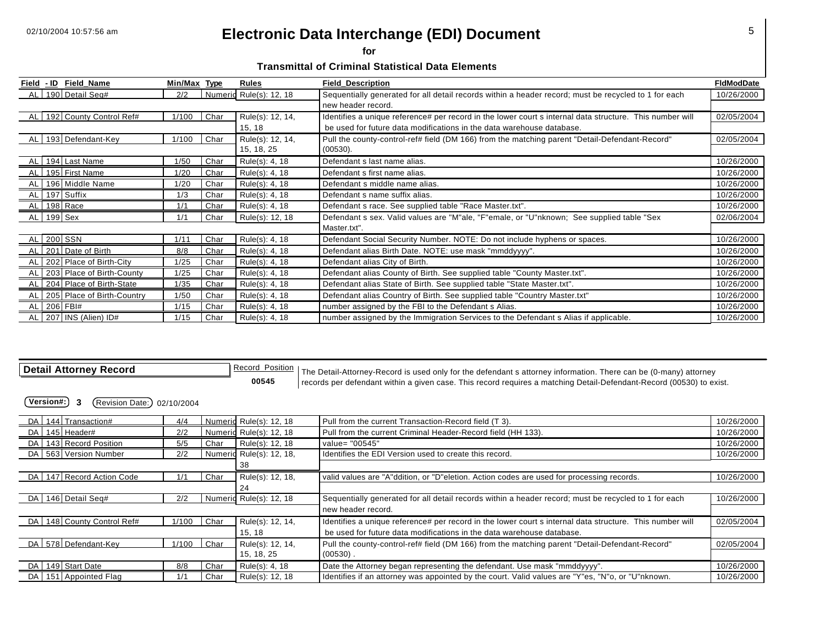**for** 

**Transmittal of Criminal Statistical Data Elements** 

| <u>Field</u> | <u>- ID</u> | Field_Name                       | Min/Max | <u>Type</u> | Rules                   | <b>Field Description</b>                                                                                 | FidModDate |
|--------------|-------------|----------------------------------|---------|-------------|-------------------------|----------------------------------------------------------------------------------------------------------|------------|
|              |             | 190 Detail Seq#                  | 2/2     |             | Numeric Rule(s): 12, 18 | Sequentially generated for all detail records within a header record; must be recycled to 1 for each     | 10/26/2000 |
|              |             |                                  |         |             |                         | new header record.                                                                                       |            |
|              |             | AL   192 County Control Ref#     | 1/100   | Char        | Rule(s): 12, 14,        | Identifies a unique reference# per record in the lower court s internal data structure. This number will | 02/05/2004 |
|              |             |                                  |         |             | 15, 18                  | be used for future data modifications in the data warehouse database.                                    |            |
|              |             | AL 193 Defendant-Key             | 1/100   | Char        | Rule(s): 12, 14,        | Pull the county-control-ref# field (DM 166) from the matching parent "Detail-Defendant-Record"           | 02/05/2004 |
|              |             |                                  |         |             | 15, 18, 25              | (00530).                                                                                                 |            |
| AL I         |             | 194 Last Name                    | 1/50    | Char        | Rule(s): 4, 18          | Defendant s last name alias.                                                                             | 10/26/2000 |
|              |             | AL 195 First Name                | 1/20    | Char        | Rule(s): 4, 18          | Defendant s first name alias.                                                                            | 10/26/2000 |
|              |             | AL 196 Middle Name               | 1/20    | Char        | Rule(s): 4, 18          | Defendant s middle name alias.                                                                           | 10/26/2000 |
|              |             | AL 197 Suffix                    | 1/3     | Char        | Rule(s): 4, 18          | Defendant s name suffix alias.                                                                           | 10/26/2000 |
| AL I         |             | 198 Race                         | 1/1     | Char        | Rule(s): 4, 18          | Defendant s race. See supplied table "Race Master.txt".                                                  | 10/26/2000 |
| AL 199 Sex   |             |                                  | 1/1     | Char        | Rule(s): 12, 18         | Defendant s sex. Valid values are "M"ale, "F"emale, or "U"nknown; See supplied table "Sex                | 02/06/2004 |
|              |             |                                  |         |             |                         | Master.txt".                                                                                             |            |
|              |             | AL 200 SSN                       | 1/11    | Char        | Rule(s): 4, 18          | Defendant Social Security Number. NOTE: Do not include hyphens or spaces.                                | 10/26/2000 |
|              |             | AL 201 Date of Birth             | 8/8     | Char        | Rule(s): 4, 18          | Defendant alias Birth Date. NOTE: use mask "mmddyyyy".                                                   | 10/26/2000 |
| AL           |             | 202 Place of Birth-City          | 1/25    | Char        | Rule(s): 4, 18          | Defendant alias City of Birth.                                                                           | 10/26/2000 |
|              |             | AL   203   Place of Birth-County | 1/25    | Char        | Rule(s): 4, 18          | Defendant alias County of Birth. See supplied table "County Master.txt".                                 | 10/26/2000 |
|              |             | AL 204 Place of Birth-State      | 1/35    | Char        | Rule(s): 4, 18          | Defendant alias State of Birth. See supplied table "State Master.txt".                                   | 10/26/2000 |
| AL           |             | 205 Place of Birth-Country       | 1/50    | Char        | Rule(s): 4, 18          | Defendant alias Country of Birth. See supplied table "Country Master.txt"                                | 10/26/2000 |
|              |             | AL 206 FBI#                      | 1/15    | Char        | Rule(s): 4, 18          | number assigned by the FBI to the Defendant s Alias.                                                     | 10/26/2000 |
|              |             | AL 207 INS (Alien) ID#           | 1/15    | Char        | Rule(s): 4, 18          | number assigned by the Immigration Services to the Defendant s Alias if applicable.                      | 10/26/2000 |

Detail Attorney Record **Record Becord Position** The Detail-Attorney-Record is used only for the defendant s attorney information. There can be (0-many) attorney **Record Position** The Detail-Attorney-Record is used only for **00545** records per defendant within a given case. This record requires a matching Detail-Defendant-Record (00530) to exist.

| DA I | 144 Transaction#        | 4/4   |      | Numeric Rule(s): 12, 18  | Pull from the current Transaction-Record field (T 3).                                                    | 10/26/2000 |
|------|-------------------------|-------|------|--------------------------|----------------------------------------------------------------------------------------------------------|------------|
| DA   | 145 Header#             | 2/2   |      | Numeric Rule(s): 12, 18  | Pull from the current Criminal Header-Record field (HH 133).                                             | 10/26/2000 |
| DA   | 143 Record Position     | 5/5   | Char | Rule(s): 12, 18          | value= "00545"                                                                                           | 10/26/2000 |
|      | DA 563 Version Number   | 2/2   |      | Numeric Rule(s): 12, 18, | Identifies the EDI Version used to create this record.                                                   | 10/26/2000 |
|      |                         |       |      | 38                       |                                                                                                          |            |
| DA I | 147 Record Action Code  | 1/1   | Char | Rule(s): 12, 18,         | valid values are "A"ddition, or "D"eletion. Action codes are used for processing records.                | 10/26/2000 |
|      |                         |       |      | 24                       |                                                                                                          |            |
| DA I | 146 Detail Seg#         | 2/2   |      | Numeric Rule(s): 12, 18  | Sequentially generated for all detail records within a header record; must be recycled to 1 for each     | 10/26/2000 |
|      |                         |       |      |                          | new header record.                                                                                       |            |
| DA   | 148 County Control Ref# | 1/100 | Char | Rule(s): 12, 14,         | Identifies a unique reference# per record in the lower court s internal data structure. This number will | 02/05/2004 |
|      |                         |       |      | 15, 18                   | be used for future data modifications in the data warehouse database.                                    |            |
| DA I | 578 Defendant-Kev       | 1/100 | Char | Rule(s): 12, 14,         | Pull the county-control-ref# field (DM 166) from the matching parent "Detail-Defendant-Record"           | 02/05/2004 |
|      |                         |       |      | 15, 18, 25               | $(00530)$ .                                                                                              |            |
| DA I | 149 Start Date          | 8/8   | Char | Rule(s): 4, 18           | Date the Attorney began representing the defendant. Use mask "mmddyyyy".                                 | 10/26/2000 |
| DA I | 151 Appointed Flag      | 1/1   | Char | Rule(s): 12, 18          | Identifies if an attorney was appointed by the court. Valid values are "Y"es, "N"o, or "U"nknown.        | 10/26/2000 |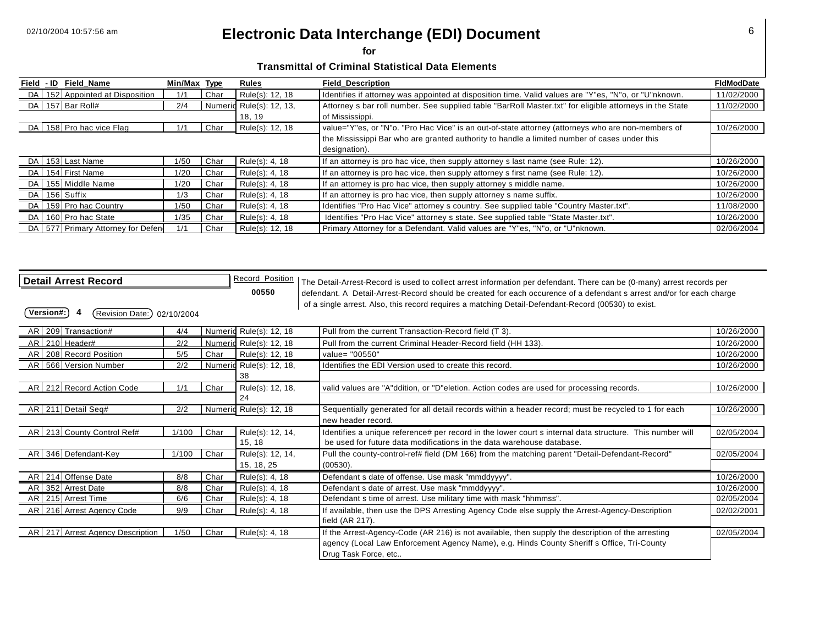**for** 

**Transmittal of Criminal Statistical Data Elements** 

| Field - ID | Field Name                          | Min/Max Type |      | Rules                    | <b>Field Description</b>                                                                                | <b>FidModDate</b> |
|------------|-------------------------------------|--------------|------|--------------------------|---------------------------------------------------------------------------------------------------------|-------------------|
|            | DA 152 Appointed at Disposition     | 1/1          | Char | Rule(s): 12, 18          | Identifies if attorney was appointed at disposition time. Valid values are "Y"es, "N"o, or "U"nknown.   | 11/02/2000        |
|            | DA 157 Bar Roll#                    | 2/4          |      | Numeric Rule(s): 12, 13, | Attorney s bar roll number. See supplied table "BarRoll Master.txt" for eligible attorneys in the State | 11/02/2000        |
|            |                                     |              |      | 18, 19                   | of Mississippi.                                                                                         |                   |
|            | DA 158 Pro hac vice Flag            | 1/1          | Char | Rule(s): 12, 18          | value="Y"es, or "N"o. "Pro Hac Vice" is an out-of-state attorney (attorneys who are non-members of      | 10/26/2000        |
|            |                                     |              |      |                          | the Mississippi Bar who are granted authority to handle a limited number of cases under this            |                   |
|            |                                     |              |      |                          | designation).                                                                                           |                   |
|            | DA 153 Last Name                    | 1/50         | Char | Rule(s): 4, 18           | If an attorney is pro hac vice, then supply attorney s last name (see Rule: 12).                        | 10/26/2000        |
|            | DA 154 First Name                   | 1/20         | Char | Rule(s): 4, 18           | If an attorney is pro hac vice, then supply attorney s first name (see Rule: 12).                       | 10/26/2000        |
|            | DA 155 Middle Name                  | 1/20         | Char | Rule(s): 4, 18           | If an attorney is pro hac vice, then supply attorney s middle name.                                     | 10/26/2000        |
|            | DA 156 Suffix                       | 1/3          | Char | Rule(s): 4, 18           | If an attorney is pro hac vice, then supply attorney s name suffix.                                     | 10/26/2000        |
|            | DA   159 Pro hac Country            | 1/50         | Char | Rule(s): 4, 18           | Identifies "Pro Hac Vice" attorney s country. See supplied table "Country Master.txt".                  | 11/08/2000        |
|            | DA 160 Pro hac State                | 1/35         | Char | Rule(s): 4, 18           | Identifies "Pro Hac Vice" attorney s state. See supplied table "State Master.txt".                      | 10/26/2000        |
|            | DA   577 Primary Attorney for Defen | 1/1          | Char | Rule(s): 12, 18          | Primary Attorney for a Defendant. Valid values are "Y"es, "N"o, or "U"nknown.                           | 02/06/2004        |

|  | <b>Detail Arrest Record</b> |  |
|--|-----------------------------|--|
|--|-----------------------------|--|

**d** <u>**Detail Arrest Record\_Position**</u> The Detail-Arrest-Record is used to collect arrest information per defendant. There can be (0-many) arrest records per **00550** defendant. A Detail-Arrest-Record should be created for each occurence of a defendant s arrest and/or for each charge of a single arrest. Also, this record requires a matching Detail-Defendant-Record (00530) to exist.

| AR 209 Transaction#              | 4/4   |      | Numeric Rule(s): 12, 18  | Pull from the current Transaction-Record field (T 3).                                                    | 10/26/2000 |
|----------------------------------|-------|------|--------------------------|----------------------------------------------------------------------------------------------------------|------------|
| AR 210 Header#                   | 2/2   |      | Numeric Rule(s): 12, 18  | Pull from the current Criminal Header-Record field (HH 133).                                             | 10/26/2000 |
| AR 208 Record Position           | 5/5   | Char | Rule(s): 12, 18          | value= "00550"                                                                                           | 10/26/2000 |
| AR 566 Version Number            | 2/2   |      | Numeric Rule(s): 12, 18, | Identifies the EDI Version used to create this record.                                                   | 10/26/2000 |
|                                  |       |      | 38                       |                                                                                                          |            |
| AR 212 Record Action Code        | 1/1   | Char | Rule(s): 12, 18,         | valid values are "A"ddition, or "D"eletion. Action codes are used for processing records.                | 10/26/2000 |
|                                  |       |      | 24                       |                                                                                                          |            |
| AR 211 Detail Seq#               | 2/2   |      | Numeric Rule(s): 12, 18  | Sequentially generated for all detail records within a header record; must be recycled to 1 for each     | 10/26/2000 |
|                                  |       |      |                          | new header record.                                                                                       |            |
| AR 213 County Control Ref#       | 1/100 | Char | Rule(s): 12, 14,         | Identifies a unique reference# per record in the lower court s internal data structure. This number will | 02/05/2004 |
|                                  |       |      | 15, 18                   | be used for future data modifications in the data warehouse database.                                    |            |
| AR 346 Defendant-Key             | 1/100 | Char | Rule(s): 12, 14,         | Pull the county-control-ref# field (DM 166) from the matching parent "Detail-Defendant-Record"           | 02/05/2004 |
|                                  |       |      | 15, 18, 25               | (00530).                                                                                                 |            |
| AR 214 Offense Date              | 8/8   | Char | Rule(s): 4, 18           | Defendant s date of offense. Use mask "mmddyyyy".                                                        | 10/26/2000 |
| AR 352 Arrest Date               | 8/8   | Char | Rule(s): 4, 18           | Defendant s date of arrest. Use mask "mmddyyyy".                                                         | 10/26/2000 |
| AR   215   Arrest Time           | 6/6   | Char | Rule(s): 4, 18           | Defendant s time of arrest. Use military time with mask "hhmmss".                                        | 02/05/2004 |
| AR 216 Arrest Agency Code        | 9/9   | Char | Rule(s): 4, 18           | If available, then use the DPS Arresting Agency Code else supply the Arrest-Agency-Description           | 02/02/2001 |
|                                  |       |      |                          | field (AR 217).                                                                                          |            |
| AR 217 Arrest Agency Description | 1/50  | Char | Rule(s): 4, 18           | If the Arrest-Agency-Code (AR 216) is not available, then supply the description of the arresting        | 02/05/2004 |
|                                  |       |      |                          | agency (Local Law Enforcement Agency Name), e.g. Hinds County Sheriff s Office, Tri-County               |            |
|                                  |       |      |                          | Drug Task Force, etc                                                                                     |            |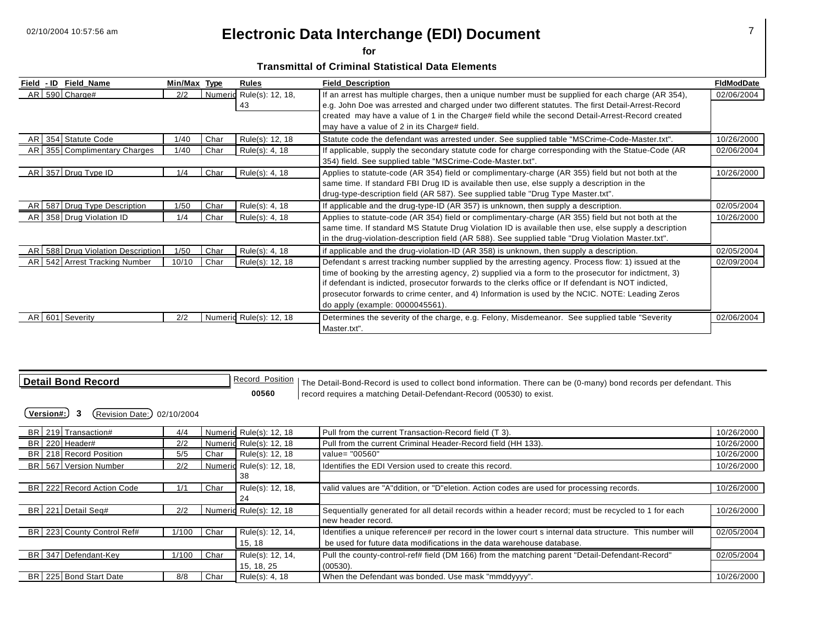**for** 

**Transmittal of Criminal Statistical Data Elements** 

| Field - ID | Field Name                        | Min/Max Type |         | Rules                   | <b>Field Description</b>                                                                                                                                                                                                                                                                                                                                                                                                                                  | <b>FidModDate</b> |
|------------|-----------------------------------|--------------|---------|-------------------------|-----------------------------------------------------------------------------------------------------------------------------------------------------------------------------------------------------------------------------------------------------------------------------------------------------------------------------------------------------------------------------------------------------------------------------------------------------------|-------------------|
|            | AR 590 Charge#                    | 2/2          | Numeric | Rule(s): 12, 18,<br>43  | If an arrest has multiple charges, then a unique number must be supplied for each charge (AR 354),<br>e.g. John Doe was arrested and charged under two different statutes. The first Detail-Arrest-Record<br>created may have a value of 1 in the Charge# field while the second Detail-Arrest-Record created<br>may have a value of 2 in its Charge# field.                                                                                              | 02/06/2004        |
|            | AR 354 Statute Code               | 1/40         | Char    | Rule(s): 12, 18         | Statute code the defendant was arrested under. See supplied table "MSCrime-Code-Master.txt".                                                                                                                                                                                                                                                                                                                                                              | 10/26/2000        |
| AR I       | 355 Complimentary Charges         | 1/40         | Char    | Rule(s): 4, 18          | If applicable, supply the secondary statute code for charge corresponding with the Statue-Code (AR<br>354) field. See supplied table "MSCrime-Code-Master.txt".                                                                                                                                                                                                                                                                                           | 02/06/2004        |
|            | AR 357 Drug Type ID               | 1/4          | Char    | Rule(s): 4, 18          | Applies to statute-code (AR 354) field or complimentary-charge (AR 355) field but not both at the<br>same time. If standard FBI Drug ID is available then use, else supply a description in the<br>drug-type-description field (AR 587). See supplied table "Drug Type Master.txt".                                                                                                                                                                       | 10/26/2000        |
| AR I       | 587 Drug Type Description         | 1/50         | Char    | Rule(s): 4, 18          | If applicable and the drug-type-ID (AR 357) is unknown, then supply a description.                                                                                                                                                                                                                                                                                                                                                                        | 02/05/2004        |
| AR.        | 358 Drug Violation ID             | 1/4          | Char    | Rule(s): 4, 18          | Applies to statute-code (AR 354) field or complimentary-charge (AR 355) field but not both at the<br>same time. If standard MS Statute Drug Violation ID is available then use, else supply a description<br>in the drug-violation-description field (AR 588). See supplied table "Drug Violation Master.txt".                                                                                                                                            | 10/26/2000        |
|            | AR 588 Drug Violation Description | 1/50         | Char    | Rule(s): 4, 18          | if applicable and the drug-violation-ID (AR 358) is unknown, then supply a description.                                                                                                                                                                                                                                                                                                                                                                   | 02/05/2004        |
|            | AR   542 Arrest Tracking Number   | 10/10        | Char    | Rule(s): 12, 18         | Defendant s arrest tracking number supplied by the arresting agency. Process flow: 1) issued at the<br>time of booking by the arresting agency, 2) supplied via a form to the prosecutor for indictment, 3)<br>if defendant is indicted, prosecutor forwards to the clerks office or If defendant is NOT indicted,<br>prosecutor forwards to crime center, and 4) Information is used by the NCIC. NOTE: Leading Zeros<br>do apply (example: 0000045561). | 02/09/2004        |
| AR I       | 601 Severity                      | 2/2          |         | Numeric Rule(s): 12, 18 | Determines the severity of the charge, e.g. Felony, Misdemeanor. See supplied table "Severity<br>Master.txt".                                                                                                                                                                                                                                                                                                                                             | 02/06/2004        |

**Detail Bond Record Record Construent Becord\_Position** The Detail-Bond-Record is used to collect bond information. There can be (0-many) bond records per defendant. This **00560 record requires a matching Detail-Defendant-Record (00530) to exist.** 

|                | BR 219 Transaction#        | 4/4   |      | Numeric Rule(s): 12, 18  | Pull from the current Transaction-Record field (T 3).                                                    | 10/26/2000 |
|----------------|----------------------------|-------|------|--------------------------|----------------------------------------------------------------------------------------------------------|------------|
| BR 220 Header# |                            | 2/2   |      | Numeric Rule(s): 12, 18  | Pull from the current Criminal Header-Record field (HH 133).                                             | 10/26/2000 |
|                | BR 218 Record Position     | 5/5   | Char | Rule(s): 12, 18          | value= "00560"                                                                                           | 10/26/2000 |
|                | BR 567 Version Number      | 2/2   |      | Numeric Rule(s): 12, 18, | Identifies the EDI Version used to create this record.                                                   | 10/26/2000 |
|                |                            |       |      | 38                       |                                                                                                          |            |
|                | BR 222 Record Action Code  | 1/1   | Char | Rule(s): 12, 18,         | valid values are "A"ddition, or "D"eletion. Action codes are used for processing records.                | 10/26/2000 |
|                |                            |       |      | 24                       |                                                                                                          |            |
|                | BR 221 Detail Seq#         | 2/2   |      | Numeric Rule(s): 12, 18  | Sequentially generated for all detail records within a header record; must be recycled to 1 for each     | 10/26/2000 |
|                |                            |       |      |                          | new header record.                                                                                       |            |
|                | BR 223 County Control Ref# | 1/100 | Char | Rule(s): 12, 14,         | Identifies a unique reference# per record in the lower court s internal data structure. This number will | 02/05/2004 |
|                |                            |       |      | 15, 18                   | be used for future data modifications in the data warehouse database.                                    |            |
|                | BR 347 Defendant-Key       | 1/100 | Char | Rule(s): 12, 14,         | Pull the county-control-ref# field (DM 166) from the matching parent "Detail-Defendant-Record"           | 02/05/2004 |
|                |                            |       |      | 15, 18, 25               | (00530).                                                                                                 |            |
|                | BR 225 Bond Start Date     | 8/8   | Char | Rule(s): 4, 18           | When the Defendant was bonded. Use mask "mmddyyyy".                                                      | 10/26/2000 |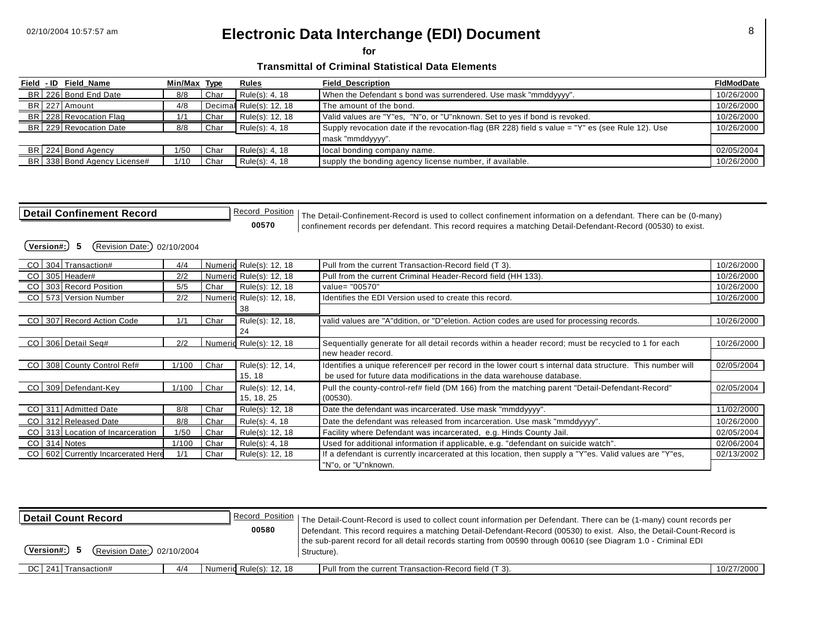**for** 

#### **Transmittal of Criminal Statistical Data Elements**

|  | Field - ID Field_Name       | Min/Max Type |      | <b>Rules</b>            | <b>Field Description</b>                                                                         | <b>FidModDate</b> |
|--|-----------------------------|--------------|------|-------------------------|--------------------------------------------------------------------------------------------------|-------------------|
|  | BR 226 Bond End Date        | 8/8          | Char | Rule(s): 4, 18          | When the Defendant s bond was surrendered. Use mask "mmddyyyy".                                  | 10/26/2000        |
|  | BR 227 Amount               | 4/8          |      | Decimal Rule(s): 12, 18 | The amount of the bond.                                                                          | 10/26/2000        |
|  | BR 228 Revocation Flag      | 1/1          | Char | Rule(s): 12, 18         | Valid values are "Y"es, "N"o, or "U"nknown. Set to yes if bond is revoked.                       | 10/26/2000        |
|  | BR 229 Revocation Date      | 8/8          | Char | Rule(s): 4, 18          | Supply revocation date if the revocation-flag (BR 228) field s value = "Y" es (see Rule 12). Use | 10/26/2000        |
|  |                             |              |      |                         | mask "mmddyyyy".                                                                                 |                   |
|  | BR 224 Bond Agency          | 1/50         | Char | Rule(s): 4, 18          | local bonding company name.                                                                      | 02/05/2004        |
|  | BR 338 Bond Agency License# | 1/10         | Char | Rule(s): 4, 18          | supply the bonding agency license number, if available.                                          | 10/26/2000        |

Detail Confinement Record **Record Becord Position** The Detail-Confinement-Record is used to collect confinement information on a defendant. There can be (0-many)<br> **Detail Confinement information** Detail-Defendant-Record (0 **00570** confinement records per defendant. This record requires a matching Detail-Defendant-Record (00530) to exist.

| CO 304 Transaction#                    | 4/4   |      | Numeric Rule(s): 12, 18  | Pull from the current Transaction-Record field (T 3).                                                    | 10/26/2000 |
|----------------------------------------|-------|------|--------------------------|----------------------------------------------------------------------------------------------------------|------------|
| CO   305   Header#                     | 2/2   |      | Numeric Rule(s): 12, 18  | Pull from the current Criminal Header-Record field (HH 133).                                             | 10/26/2000 |
| CO 303 Record Position                 | 5/5   | Char | Rule(s): 12, 18          | value= "00570"                                                                                           | 10/26/2000 |
| CO   573   Version Number              | 2/2   |      | Numerid Rule(s): 12, 18, | Identifies the EDI Version used to create this record.                                                   | 10/26/2000 |
|                                        |       |      | -38                      |                                                                                                          |            |
| CO 307 Record Action Code              | 1/1   | Char | Rule(s): 12, 18,         | valid values are "A"ddition, or "D"eletion. Action codes are used for processing records.                | 10/26/2000 |
|                                        |       |      | 24                       |                                                                                                          |            |
| CO 306 Detail Sea#                     | 2/2   |      | Numeric Rule(s): 12, 18  | Sequentially generate for all detail records within a header record; must be recycled to 1 for each      | 10/26/2000 |
|                                        |       |      |                          | new header record.                                                                                       |            |
| CO 308 County Control Ref#             | 1/100 | Char | Rule(s): 12, 14,         | Identifies a unique reference# per record in the lower court s internal data structure. This number will | 02/05/2004 |
|                                        |       |      | 15, 18                   | be used for future data modifications in the data warehouse database.                                    |            |
| CO 309 Defendant-Key                   | 1/100 | Char | Rule(s): 12, 14,         | Pull the county-control-ref# field (DM 166) from the matching parent "Detail-Defendant-Record"           | 02/05/2004 |
|                                        |       |      | 15, 18, 25               | $(00530)$ .                                                                                              |            |
| CO 311 Admitted Date                   | 8/8   | Char | Rule(s): 12, 18          | Date the defendant was incarcerated. Use mask "mmddyyyy".                                                | 11/02/2000 |
| CO 312 Released Date                   | 8/8   | Char | Rule(s): 4, 18           | Date the defendant was released from incarceration. Use mask "mmddyyyy".                                 | 10/26/2000 |
| CO   313 Location of Incarceration     | 1/50  | Char | Rule(s): 12, 18          | Facility where Defendant was incarcerated, e.g. Hinds County Jail.                                       | 02/05/2004 |
| CO 314 Notes                           | 1/100 | Char | Rule(s): 4, 18           | Used for additional information if applicable, e.g. "defendant on suicide watch".                        | 02/06/2004 |
| CO   602   Currently Incarcerated Here | 1/1   | Char | Rule(s): 12, 18          | If a defendant is currently incarcerated at this location, then supply a "Y"es. Valid values are "Y"es,  | 02/13/2002 |
|                                        |       |      |                          | "N"o, or "U"nknown.                                                                                      |            |

| l Detail Count Record                     |                         | Record_Position   The Detail-Count-Record is used to collect count information per Defendant. There can be (1-many) count records per                                                                                                                  |            |  |
|-------------------------------------------|-------------------------|--------------------------------------------------------------------------------------------------------------------------------------------------------------------------------------------------------------------------------------------------------|------------|--|
| Version#:)<br>(Revision Date:) 02/10/2004 | 00580                   | Defendant. This record requires a matching Detail-Defendant-Record (00530) to exist. Also, the Detail-Count-Record is<br>the sub-parent record for all detail records starting from 00590 through 00610 (see Diagram 1.0 - Criminal EDI<br>Structure). |            |  |
| DC 241 Transaction#<br>4/4                | Numerid Rule(s): 12, 18 | Pull from the current Transaction-Record field (T 3).                                                                                                                                                                                                  | 10/27/2000 |  |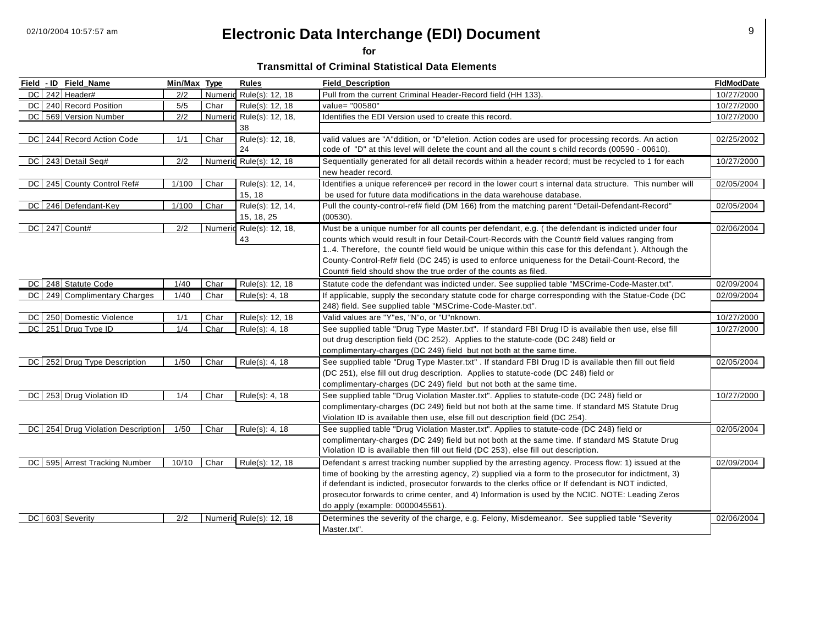**for** 

**Transmittal of Criminal Statistical Data Elements** 

| Field - ID Field_Name             | Min/Max Type   |      | <b>Rules</b>             | <b>Field Description</b>                                                                                 | <b>FIdModDate</b> |
|-----------------------------------|----------------|------|--------------------------|----------------------------------------------------------------------------------------------------------|-------------------|
| DC 242 Header#                    | 2/2            |      | Numeric Rule(s): 12, 18  | Pull from the current Criminal Header-Record field (HH 133).                                             | 10/27/2000        |
| DC 240 Record Position            | 5/5            | Char | Rule(s): 12, 18          | value= "00580"                                                                                           | 10/27/2000        |
| DC 569 Version Number             | 2/2            |      | Numeric Rule(s): 12, 18, | Identifies the EDI Version used to create this record.                                                   | 10/27/2000        |
|                                   |                |      | 38                       |                                                                                                          |                   |
| DC 244 Record Action Code         | 1/1            | Char | Rule(s): 12, 18,         | valid values are "A"ddition, or "D"eletion. Action codes are used for processing records. An action      | 02/25/2002        |
|                                   |                |      | 24                       | code of "D" at this level will delete the count and all the count s child records (00590 - 00610).       |                   |
| DC 243 Detail Seq#                | 2/2            |      | Numeric Rule(s): 12, 18  | Sequentially generated for all detail records within a header record; must be recycled to 1 for each     | 10/27/2000        |
|                                   |                |      |                          | new header record.                                                                                       |                   |
| DC 245 County Control Ref#        | 1/100          | Char | Rule(s): 12, 14,         | Identifies a unique reference# per record in the lower court s internal data structure. This number will | 02/05/2004        |
|                                   |                |      | 15, 18                   | be used for future data modifications in the data warehouse database.                                    |                   |
| DC 246 Defendant-Key              | 1/100          | Char | Rule(s): 12, 14,         | Pull the county-control-ref# field (DM 166) from the matching parent "Detail-Defendant-Record"           | 02/05/2004        |
|                                   |                |      | 15, 18, 25               | (00530).                                                                                                 |                   |
| DC 247 Count#                     | 2/2            |      | Numeric Rule(s): 12, 18, | Must be a unique number for all counts per defendant, e.g. (the defendant is indicted under four         | 02/06/2004        |
|                                   |                |      | 43                       | counts which would result in four Detail-Court-Records with the Count# field values ranging from         |                   |
|                                   |                |      |                          | 14. Therefore, the count# field would be unique within this case for this defendant). Although the       |                   |
|                                   |                |      |                          | County-Control-Ref# field (DC 245) is used to enforce uniqueness for the Detail-Count-Record, the        |                   |
|                                   |                |      |                          | Count# field should show the true order of the counts as filed.                                          |                   |
| DC 248 Statute Code               | 1/40           | Char | Rule(s): 12, 18          | Statute code the defendant was indicted under. See supplied table "MSCrime-Code-Master.txt".             | 02/09/2004        |
| DC 249 Complimentary Charges      | 1/40           | Char | Rule(s): 4, 18           | If applicable, supply the secondary statute code for charge corresponding with the Statue-Code (DC       | 02/09/2004        |
|                                   |                |      |                          | 248) field. See supplied table "MSCrime-Code-Master.txt".                                                |                   |
| DC 250 Domestic Violence          | 1/1            | Char | Rule(s): 12, 18          | Valid values are "Y"es, "N"o, or "U"nknown.                                                              | 10/27/2000        |
| DC 251 Drug Type ID               | 1/4            | Char | Rule(s): 4, 18           | See supplied table "Drug Type Master.txt". If standard FBI Drug ID is available then use, else fill      | 10/27/2000        |
|                                   |                |      |                          | out drug description field (DC 252). Applies to the statute-code (DC 248) field or                       |                   |
|                                   |                |      |                          | complimentary-charges (DC 249) field but not both at the same time.                                      |                   |
| DC 252 Drug Type Description      | $\frac{1}{50}$ | Char | Rule(s): 4, 18           | See supplied table "Drug Type Master.txt" . If standard FBI Drug ID is available then fill out field     | 02/05/2004        |
|                                   |                |      |                          | (DC 251), else fill out drug description. Applies to statute-code (DC 248) field or                      |                   |
|                                   |                |      |                          | complimentary-charges (DC 249) field but not both at the same time.                                      |                   |
| DC 253 Drug Violation ID          | 1/4            | Char | Rule(s): 4, 18           | See supplied table "Drug Violation Master.txt". Applies to statute-code (DC 248) field or                | 10/27/2000        |
|                                   |                |      |                          | complimentary-charges (DC 249) field but not both at the same time. If standard MS Statute Drug          |                   |
|                                   |                |      |                          | Violation ID is available then use, else fill out description field (DC 254).                            |                   |
| DC 254 Drug Violation Description | 1/50           | Char | Rule(s): 4, 18           | See supplied table "Drug Violation Master.txt". Applies to statute-code (DC 248) field or                | 02/05/2004        |
|                                   |                |      |                          | complimentary-charges (DC 249) field but not both at the same time. If standard MS Statute Drug          |                   |
|                                   |                |      |                          | Violation ID is available then fill out field (DC 253), else fill out description.                       |                   |
| DC 595 Arrest Tracking Number     | 10/10          | Char | Rule(s): 12, 18          | Defendant s arrest tracking number supplied by the arresting agency. Process flow: 1) issued at the      | 02/09/2004        |
|                                   |                |      |                          | time of booking by the arresting agency, 2) supplied via a form to the prosecutor for indictment, 3)     |                   |
|                                   |                |      |                          | if defendant is indicted, prosecutor forwards to the clerks office or If defendant is NOT indicted,      |                   |
|                                   |                |      |                          | prosecutor forwards to crime center, and 4) Information is used by the NCIC. NOTE: Leading Zeros         |                   |
|                                   |                |      |                          | do apply (example: 0000045561).                                                                          |                   |
| DC 603 Severity                   | 2/2            |      | Numeric Rule(s): 12, 18  | Determines the severity of the charge, e.g. Felony, Misdemeanor. See supplied table "Severity            | 02/06/2004        |
|                                   |                |      |                          | Master.txt".                                                                                             |                   |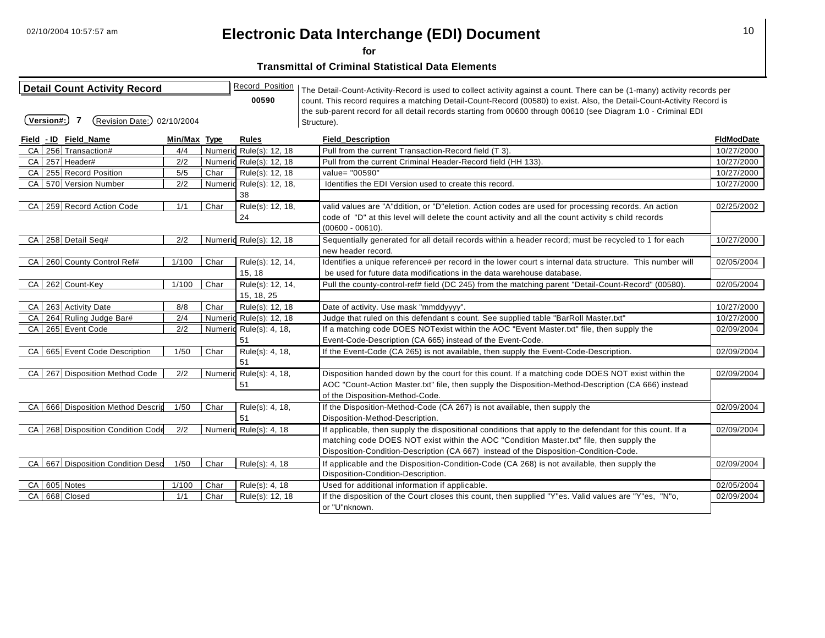**for** 

| <b>Detail Count Activity Record</b> |                             |              |      | Record_Position          | The Detail-Count-Activity-Record is used to collect activity against a count. There can be (1-many) activity records per |                   |
|-------------------------------------|-----------------------------|--------------|------|--------------------------|--------------------------------------------------------------------------------------------------------------------------|-------------------|
|                                     |                             |              |      | 00590                    | count. This record requires a matching Detail-Count-Record (00580) to exist. Also, the Detail-Count-Activity Record is   |                   |
|                                     |                             |              |      |                          | the sub-parent record for all detail records starting from 00600 through 00610 (see Diagram 1.0 - Criminal EDI           |                   |
| Version#:)                          | (Revision Date:) 02/10/2004 |              |      |                          | Structure).                                                                                                              |                   |
| Field - ID Field Name               |                             | Min/Max Type |      | Rules                    | <b>Field Description</b>                                                                                                 | <b>FidModDate</b> |
| CA 256 Transaction#                 |                             | 4/4          |      | Numeric Rule(s): 12, 18  | Pull from the current Transaction-Record field (T 3).                                                                    | 10/27/2000        |
| CA 257 Header#                      |                             | 2/2          |      | Numeric Rule(s): 12, 18  | Pull from the current Criminal Header-Record field (HH 133).                                                             | 10/27/2000        |
| CA 255 Record Position              |                             | 5/5          | Char | Rule(s): 12, 18          | value= "00590"                                                                                                           | 10/27/2000        |
| CA 570 Version Number               |                             | 2/2          |      | Numeric Rule(s): 12, 18, | Identifies the EDI Version used to create this record.                                                                   | 10/27/2000        |
|                                     |                             |              |      | 38                       |                                                                                                                          |                   |
| CA 259 Record Action Code           |                             | 1/1          | Char | Rule(s): 12, 18,         | valid values are "A"ddition, or "D"eletion. Action codes are used for processing records. An action                      | 02/25/2002        |
|                                     |                             |              |      | 24                       | code of "D" at this level will delete the count activity and all the count activity s child records                      |                   |
|                                     |                             |              |      |                          | $(00600 - 00610)$ .                                                                                                      |                   |
| CA 258 Detail Seq#                  |                             | 2/2          |      | Numeric Rule(s): 12, 18  | Sequentially generated for all detail records within a header record; must be recycled to 1 for each                     | 10/27/2000        |
|                                     |                             |              |      |                          | new header record.                                                                                                       |                   |
| CA 260 County Control Ref#          |                             | 1/100        | Char | Rule(s): 12, 14,         | Identifies a unique reference# per record in the lower court s internal data structure. This number will                 | 02/05/2004        |
|                                     |                             |              |      | 15, 18                   | be used for future data modifications in the data warehouse database.                                                    |                   |
| CA 262 Count-Key                    |                             | 1/100        | Char | Rule(s): 12, 14,         | Pull the county-control-ref# field (DC 245) from the matching parent "Detail-Count-Record" (00580).                      | 02/05/2004        |
|                                     |                             |              |      | 15, 18, 25               |                                                                                                                          |                   |
| CA 263 Activity Date                |                             | 8/8          | Char | Rule(s): 12, 18          | Date of activity. Use mask "mmddyyyy".                                                                                   | 10/27/2000        |
| CA 264 Ruling Judge Bar#            |                             | 2/4          |      | Numeric Rule(s): 12, 18  | Judge that ruled on this defendant s count. See supplied table "BarRoll Master.txt"                                      | 10/27/2000        |
| CA 265 Event Code                   |                             | 2/2          |      | Numeric Rule(s): 4, 18,  | If a matching code DOES NOTexist within the AOC "Event Master.txt" file, then supply the                                 | 02/09/2004        |
|                                     |                             |              |      | 51                       | Event-Code-Description (CA 665) instead of the Event-Code.                                                               |                   |
| CA I                                | 665 Event Code Description  | 1/50         | Char | Rule(s): 4, 18,          | If the Event-Code (CA 265) is not available, then supply the Event-Code-Description.                                     | 02/09/2004        |
|                                     |                             |              |      | 51                       |                                                                                                                          |                   |
| CA 267 Disposition Method Code      |                             | 2/2          |      | Numeric Rule(s): 4, 18,  | Disposition handed down by the court for this count. If a matching code DOES NOT exist within the                        | 02/09/2004        |
|                                     |                             |              |      | 51                       | AOC "Count-Action Master.txt" file, then supply the Disposition-Method-Description (CA 666) instead                      |                   |
|                                     |                             |              |      |                          | of the Disposition-Method-Code.                                                                                          |                   |
| CA 666 Disposition Method Descrip   |                             | 1/50         | Char | Rule(s): 4, 18,          | If the Disposition-Method-Code (CA 267) is not available, then supply the                                                | 02/09/2004        |
|                                     |                             |              |      | 51                       | Disposition-Method-Description.                                                                                          |                   |
| CA 268 Disposition Condition Code   |                             | 2/2          |      | Numeric Rule(s): 4, 18   | If applicable, then supply the dispositional conditions that apply to the defendant for this count. If a                 | 02/09/2004        |
|                                     |                             |              |      |                          | matching code DOES NOT exist within the AOC "Condition Master.txt" file, then supply the                                 |                   |
|                                     |                             |              |      |                          | Disposition-Condition-Description (CA 667) instead of the Disposition-Condition-Code.                                    |                   |
| CA 667 Disposition Condition Desc   |                             | 1/50         | Char | Rule(s): 4, 18           | If applicable and the Disposition-Condition-Code (CA 268) is not available, then supply the                              | 02/09/2004        |
|                                     |                             |              |      |                          | Disposition-Condition-Description.                                                                                       |                   |
| CA 605 Notes                        |                             | 1/100        | Char | Rule(s): 4, 18           | Used for additional information if applicable.                                                                           | 02/05/2004        |
| CA 668 Closed                       |                             | 1/1          | Char | Rule(s): 12, 18          | If the disposition of the Court closes this count, then supplied "Y"es. Valid values are "Y"es, "N"o,                    | 02/09/2004        |
|                                     |                             |              |      |                          | or "U"nknown.                                                                                                            |                   |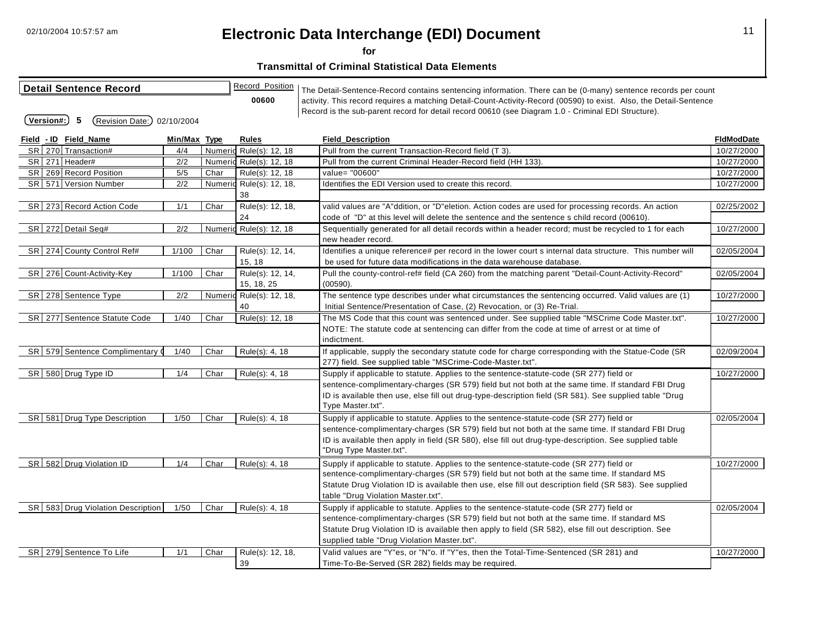**for** 

| <b>Detail Sentence Record</b>                   |              |      | Record_Position          | The Detail-Sentence-Record contains sentencing information. There can be (0-many) sentence records per count                                                                                               |                   |
|-------------------------------------------------|--------------|------|--------------------------|------------------------------------------------------------------------------------------------------------------------------------------------------------------------------------------------------------|-------------------|
|                                                 |              |      | 00600                    | activity. This record requires a matching Detail-Count-Activity-Record (00590) to exist. Also, the Detail-Sentence                                                                                         |                   |
| Version#:)<br>-5<br>(Revision Date:) 02/10/2004 |              |      |                          | Record is the sub-parent record for detail record 00610 (see Diagram 1.0 - Criminal EDI Structure).                                                                                                        |                   |
|                                                 |              |      |                          |                                                                                                                                                                                                            |                   |
| Field - ID Field_Name                           | Min/Max Type |      | Rules                    | <b>Field_Description</b>                                                                                                                                                                                   | <b>FIdModDate</b> |
| SR 270 Transaction#                             | 4/4          |      | Numeric Rule(s): 12, 18  | Pull from the current Transaction-Record field (T 3).                                                                                                                                                      | 10/27/2000        |
| SR 271 Header#                                  | 2/2          |      | Numeric Rule(s): 12, 18  | Pull from the current Criminal Header-Record field (HH 133).                                                                                                                                               | 10/27/2000        |
| SR 269 Record Position                          | 5/5          | Char | Rule(s): 12, 18          | value= "00600"                                                                                                                                                                                             | 10/27/2000        |
| SR 571 Version Number                           | 2/2          |      | Numeric Rule(s): 12, 18, | Identifies the EDI Version used to create this record.                                                                                                                                                     | 10/27/2000        |
|                                                 |              |      | 38                       |                                                                                                                                                                                                            |                   |
| SR 273 Record Action Code                       | 1/1          | Char | Rule(s): 12, 18,         | valid values are "A"ddition, or "D"eletion. Action codes are used for processing records. An action                                                                                                        | 02/25/2002        |
|                                                 |              |      | 24                       | code of "D" at this level will delete the sentence and the sentence s child record (00610).                                                                                                                |                   |
| SR 272 Detail Seq#                              | 2/2          |      | Numeric Rule(s): 12, 18  | Sequentially generated for all detail records within a header record; must be recycled to 1 for each                                                                                                       | 10/27/2000        |
|                                                 |              |      |                          | new header record.                                                                                                                                                                                         |                   |
| SR 274 County Control Ref#                      | 1/100        | Char | Rule(s): 12, 14,         | Identifies a unique reference# per record in the lower court s internal data structure. This number will                                                                                                   | 02/05/2004        |
|                                                 |              |      | 15, 18                   | be used for future data modifications in the data warehouse database.                                                                                                                                      |                   |
| SR 276 Count-Activity-Key                       | 1/100        | Char | Rule(s): 12, 14,         | Pull the county-control-ref# field (CA 260) from the matching parent "Detail-Count-Activity-Record"                                                                                                        | 02/05/2004        |
|                                                 |              |      | 15, 18, 25               | (00590).                                                                                                                                                                                                   |                   |
| SR 278 Sentence Type                            | 2/2          |      | Numeric Rule(s): 12, 18, | The sentence type describes under what circumstances the sentencing occurred. Valid values are (1)                                                                                                         | 10/27/2000        |
|                                                 |              |      | 40                       | Initial Sentence/Presentation of Case, (2) Revocation, or (3) Re-Trial.                                                                                                                                    |                   |
| SR 277 Sentence Statute Code                    | 1/40         | Char | Rule(s): 12, 18          | The MS Code that this count was sentenced under. See supplied table "MSCrime Code Master.txt".                                                                                                             | 10/27/2000        |
|                                                 |              |      |                          | NOTE: The statute code at sentencing can differ from the code at time of arrest or at time of                                                                                                              |                   |
|                                                 |              |      |                          | indictment.                                                                                                                                                                                                |                   |
| SR 579 Sentence Complimentary 0                 | 1/40         | Char | Rule(s): 4, 18           | If applicable, supply the secondary statute code for charge corresponding with the Statue-Code (SR                                                                                                         | 02/09/2004        |
|                                                 |              |      |                          | 277) field. See supplied table "MSCrime-Code-Master.txt".                                                                                                                                                  |                   |
| SR 580 Drug Type ID                             | 1/4          | Char | Rule(s): 4, 18           | Supply if applicable to statute. Applies to the sentence-statute-code (SR 277) field or                                                                                                                    | 10/27/2000        |
|                                                 |              |      |                          | sentence-complimentary-charges (SR 579) field but not both at the same time. If standard FBI Drug                                                                                                          |                   |
|                                                 |              |      |                          | ID is available then use, else fill out drug-type-description field (SR 581). See supplied table "Drug<br>Type Master.txt".                                                                                |                   |
| SR 581 Drug Type Description                    |              | Char |                          |                                                                                                                                                                                                            | 02/05/2004        |
|                                                 | 1/50         |      | Rule(s): 4, 18           | Supply if applicable to statute. Applies to the sentence-statute-code (SR 277) field or                                                                                                                    |                   |
|                                                 |              |      |                          | sentence-complimentary-charges (SR 579) field but not both at the same time. If standard FBI Drug<br>ID is available then apply in field (SR 580), else fill out drug-type-description. See supplied table |                   |
|                                                 |              |      |                          | "Drug Type Master.txt".                                                                                                                                                                                    |                   |
| SR 582 Drug Violation ID                        | 1/4          | Char | Rule(s): 4, 18           | Supply if applicable to statute. Applies to the sentence-statute-code (SR 277) field or                                                                                                                    | 10/27/2000        |
|                                                 |              |      |                          | sentence-complimentary-charges (SR 579) field but not both at the same time. If standard MS                                                                                                                |                   |
|                                                 |              |      |                          | Statute Drug Violation ID is available then use, else fill out description field (SR 583). See supplied                                                                                                    |                   |
|                                                 |              |      |                          | table "Drug Violation Master.txt".                                                                                                                                                                         |                   |
| SR 583 Drug Violation Description               | 1/50         | Char | Rule(s): 4, 18           | Supply if applicable to statute. Applies to the sentence-statute-code (SR 277) field or                                                                                                                    | 02/05/2004        |
|                                                 |              |      |                          | sentence-complimentary-charges (SR 579) field but not both at the same time. If standard MS                                                                                                                |                   |
|                                                 |              |      |                          | Statute Drug Violation ID is available then apply to field (SR 582), else fill out description. See                                                                                                        |                   |
|                                                 |              |      |                          | supplied table "Drug Violation Master.txt".                                                                                                                                                                |                   |
| SR 279 Sentence To Life                         | 1/1          | Char | Rule(s): 12, 18,         | Valid values are "Y"es, or "N"o. If "Y"es, then the Total-Time-Sentenced (SR 281) and                                                                                                                      | 10/27/2000        |
|                                                 |              |      | 39                       | Time-To-Be-Served (SR 282) fields may be required.                                                                                                                                                         |                   |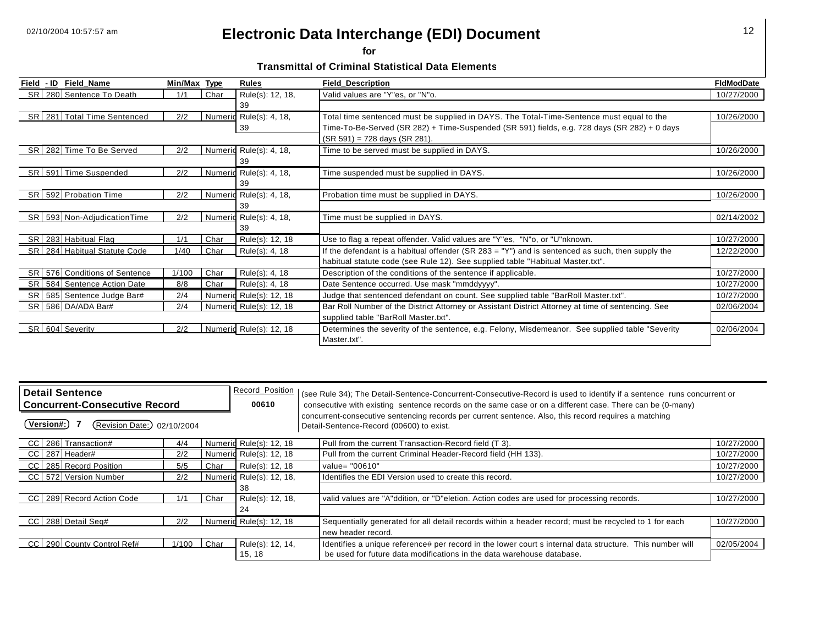**for** 

**Transmittal of Criminal Statistical Data Elements** 

|      | Field - ID Field Name           | Min/Max Type |      | <b>Rules</b>            | <b>Field Description</b>                                                                           | <b>FidModDate</b> |
|------|---------------------------------|--------------|------|-------------------------|----------------------------------------------------------------------------------------------------|-------------------|
|      | SR   280 Sentence To Death      | 1/1          | Char | Rule(s): 12, 18,        | Valid values are "Y"es, or "N"o.                                                                   | 10/27/2000        |
|      |                                 |              |      | 39                      |                                                                                                    |                   |
|      | SR 281 Total Time Sentenced     | 2/2          |      | Numeric Rule(s): 4, 18, | Total time sentenced must be supplied in DAYS. The Total-Time-Sentence must equal to the           | 10/26/2000        |
|      |                                 |              |      | 39                      | Time-To-Be-Served (SR 282) + Time-Suspended (SR 591) fields, e.g. 728 days (SR 282) + 0 days       |                   |
|      |                                 |              |      |                         | (SR 591) = 728 days (SR 281).                                                                      |                   |
|      | SR 282 Time To Be Served        | 2/2          |      | Numeric Rule(s): 4, 18, | Time to be served must be supplied in DAYS.                                                        | 10/26/2000        |
|      |                                 |              |      | 39                      |                                                                                                    |                   |
|      | SR 591 Time Suspended           | 2/2          |      | Numeric Rule(s): 4, 18, | Time suspended must be supplied in DAYS.                                                           | 10/26/2000        |
|      |                                 |              |      | 39                      |                                                                                                    |                   |
|      | SR 592 Probation Time           | 2/2          |      | Numeric Rule(s): 4, 18, | Probation time must be supplied in DAYS.                                                           | 10/26/2000        |
|      |                                 |              |      | 39                      |                                                                                                    |                   |
|      | SR 593 Non-AdjudicationTime     | 2/2          |      | Numeric Rule(s): 4, 18, | Time must be supplied in DAYS.                                                                     | 02/14/2002        |
|      |                                 |              |      | 39                      |                                                                                                    |                   |
|      | SR   283 Habitual Flag          | 1/1          | Char | Rule(s): 12, 18         | Use to flag a repeat offender. Valid values are "Y"es, "N"o, or "U"nknown.                         | 10/27/2000        |
|      | SR 284 Habitual Statute Code    | 1/40         | Char | Rule(s): 4, 18          | If the defendant is a habitual offender (SR 283 = "Y") and is sentenced as such, then supply the   | 12/22/2000        |
|      |                                 |              |      |                         | habitual statute code (see Rule 12). See supplied table "Habitual Master.txt".                     |                   |
|      | SR 576 Conditions of Sentence   | 1/100        | Char | Rule(s): 4, 18          | Description of the conditions of the sentence if applicable.                                       | 10/27/2000        |
|      | SR   584   Sentence Action Date | 8/8          | Char | Rule(s): 4, 18          | Date Sentence occurred. Use mask "mmddyyyy".                                                       | 10/27/2000        |
| SR I | 585 Sentence Judge Bar#         | 2/4          |      | Numeric Rule(s): 12, 18 | Judge that sentenced defendant on count. See supplied table "BarRoll Master.txt".                  | 10/27/2000        |
|      | SR 586 DA/ADA Bar#              | 2/4          |      | Numeric Rule(s): 12, 18 | Bar Roll Number of the District Attorney or Assistant District Attorney at time of sentencing. See | 02/06/2004        |
|      |                                 |              |      |                         | supplied table "BarRoll Master.txt".                                                               |                   |
|      | SR 604 Severity                 | 2/2          |      | Numeric Rule(s): 12, 18 | Determines the severity of the sentence, e.g. Felony, Misdemeanor. See supplied table "Severity    | 02/06/2004        |
|      |                                 |              |      |                         | Master.txt".                                                                                       |                   |

| <b>Detail Sentence</b><br><b>Concurrent-Consecutive Record</b> |  |                           |       |        | Record Position<br>00610 | (see Rule 34); The Detail-Sentence-Concurrent-Consecutive-Record is used to identify if a sentence runs concurrent or<br>consecutive with existing sentence records on the same case or on a different case. There can be (0-many) |            |
|----------------------------------------------------------------|--|---------------------------|-------|--------|--------------------------|------------------------------------------------------------------------------------------------------------------------------------------------------------------------------------------------------------------------------------|------------|
| (Version#:)<br>Revision Date:) 02/10/2004                      |  |                           |       |        |                          | concurrent-consecutive sentencing records per current sentence. Also, this record requires a matching<br>Detail-Sentence-Record (00600) to exist.                                                                                  |            |
|                                                                |  | CC 286 Transaction#       | 4/4   |        | Numeric Rule(s): 12, 18  | Pull from the current Transaction-Record field (T 3).                                                                                                                                                                              | 10/27/2000 |
|                                                                |  | CC 287 Header#            | 2/2   |        | Numeric Rule(s): 12, 18  | Pull from the current Criminal Header-Record field (HH 133).                                                                                                                                                                       | 10/27/2000 |
|                                                                |  | CC 285 Record Position    | 5/5   | Char   | Rule(s): 12, 18          | value= "00610"                                                                                                                                                                                                                     | 10/27/2000 |
|                                                                |  | CC 572 Version Number     | 2/2   |        | Numeric Rule(s): 12, 18, | Identifies the EDI Version used to create this record.                                                                                                                                                                             | 10/27/2000 |
|                                                                |  |                           |       |        | 38                       |                                                                                                                                                                                                                                    |            |
|                                                                |  | CC 289 Record Action Code | 1/1   | Char   | Rule(s): 12, 18,         | valid values are "A"ddition, or "D"eletion. Action codes are used for processing records.                                                                                                                                          | 10/27/2000 |
|                                                                |  |                           |       |        | 24                       |                                                                                                                                                                                                                                    |            |
|                                                                |  | CC 288 Detail Seq#        | 2/2   |        | Numeric Rule(s): 12, 18  | Sequentially generated for all detail records within a header record; must be recycled to 1 for each                                                                                                                               | 10/27/2000 |
|                                                                |  |                           |       |        |                          | new header record.                                                                                                                                                                                                                 |            |
| CC L                                                           |  | 290 County Control Ref#   | 1/100 | l Char | Rule(s): 12, 14,         | Identifies a unique reference# per record in the lower court s internal data structure. This number will                                                                                                                           | 02/05/2004 |
|                                                                |  |                           |       |        | 15, 18                   | be used for future data modifications in the data warehouse database.                                                                                                                                                              |            |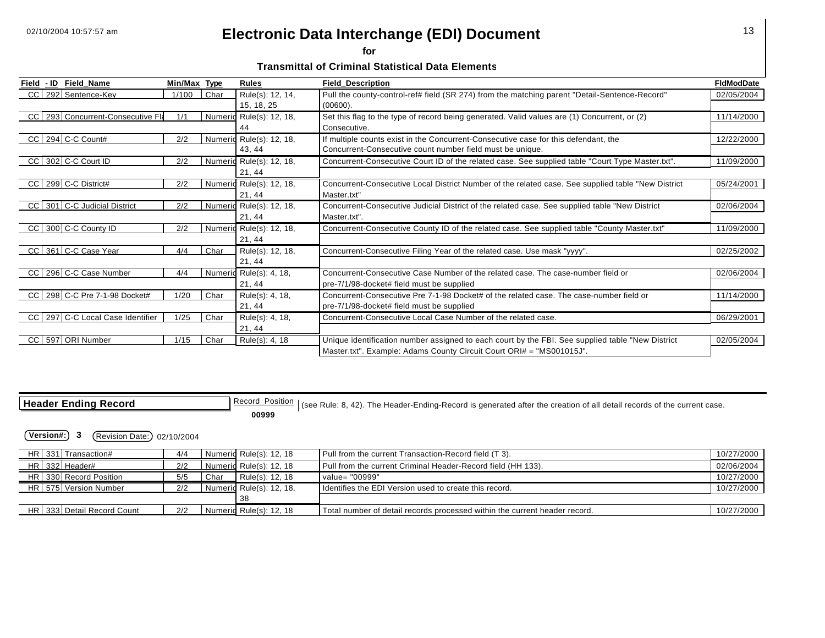**for** 

**Transmittal of Criminal Statistical Data Elements** 

| Field - ID | Field Name                        | Min/Max | <b>Type</b> | <b>Rules</b>             | <b>Field Description</b>                                                                           | <b>FidModDate</b> |
|------------|-----------------------------------|---------|-------------|--------------------------|----------------------------------------------------------------------------------------------------|-------------------|
|            | CC 292 Sentence-Key               | 1/100   | Char        | Rule(s): 12, 14,         | Pull the county-control-ref# field (SR 274) from the matching parent "Detail-Sentence-Record"      | 02/05/2004        |
|            |                                   |         |             | 15, 18, 25               | (00600).                                                                                           |                   |
|            | CC 293 Concurrent-Consecutive Fla | 1/1     |             | Numeric Rule(s): 12, 18, | Set this flag to the type of record being generated. Valid values are (1) Concurrent, or (2)       | 11/14/2000        |
|            |                                   |         |             | 44                       | Consecutive.                                                                                       |                   |
|            | $CC$ 294 C-C Count#               | 2/2     |             | Numeric Rule(s): 12, 18, | If multiple counts exist in the Concurrent-Consecutive case for this defendant, the                | 12/22/2000        |
|            |                                   |         |             | 43, 44                   | Concurrent-Consecutive count number field must be unique.                                          |                   |
|            | CC 302 C-C Court ID               | 2/2     |             | Numeric Rule(s): 12, 18, | Concurrent-Consecutive Court ID of the related case. See supplied table "Court Type Master.txt".   | 11/09/2000        |
|            |                                   |         |             | 21, 44                   |                                                                                                    |                   |
|            | CC 299 C-C District#              | 2/2     |             | Numeric Rule(s): 12, 18, | Concurrent-Consecutive Local District Number of the related case. See supplied table "New District | 05/24/2001        |
|            |                                   |         |             | 21, 44                   | Master.txt"                                                                                        |                   |
|            | CC 301 C-C Judicial District      | 2/2     |             | Numeric Rule(s): 12, 18, | Concurrent-Consecutive Judicial District of the related case. See supplied table "New District     | 02/06/2004        |
|            |                                   |         |             | 21, 44                   | Master.txt".                                                                                       |                   |
|            | CC 300 C-C County ID              | 2/2     |             | Numeric Rule(s): 12, 18, | Concurrent-Consecutive County ID of the related case. See supplied table "County Master.txt"       | 11/09/2000        |
|            |                                   |         |             | 21, 44                   |                                                                                                    |                   |
|            | CC 361 C-C Case Year              | 4/4     | Char        | Rule(s): 12, 18,         | Concurrent-Consecutive Filing Year of the related case. Use mask "yyyy".                           | 02/25/2002        |
|            |                                   |         |             | 21, 44                   |                                                                                                    |                   |
|            | CC 296 C-C Case Number            | 4/4     |             | Numeric Rule(s): 4, 18,  | Concurrent-Consecutive Case Number of the related case. The case-number field or                   | 02/06/2004        |
|            |                                   |         |             | 21, 44                   | pre-7/1/98-docket# field must be supplied                                                          |                   |
|            | CC 298 C-C Pre 7-1-98 Docket#     | 1/20    | Char        | Rule(s): 4, 18,          | Concurrent-Consecutive Pre 7-1-98 Docket# of the related case. The case-number field or            | 11/14/2000        |
|            |                                   |         |             | 21, 44                   | pre-7/1/98-docket# field must be supplied                                                          |                   |
|            | CC 297 C-C Local Case Identifier  | 1/25    | Char        | Rule(s): 4, 18,          | Concurrent-Consecutive Local Case Number of the related case.                                      | 06/29/2001        |
|            |                                   |         |             | 21, 44                   |                                                                                                    |                   |
| CC I       | 597 ORI Number                    | 1/15    | Char        | Rule(s): 4, 18           | Unique identification number assigned to each court by the FBI. See supplied table "New District   | 02/05/2004        |
|            |                                   |         |             |                          | Master.txt". Example: Adams County Circuit Court ORI# = "MS001015J".                               |                   |

| <b>Header Ending Record</b> |  |  |  |  |  |  |
|-----------------------------|--|--|--|--|--|--|
|-----------------------------|--|--|--|--|--|--|

**Header Ending Record\_Position** (see Rule: 8, 42). The Header-Ending-Record is generated after the creation of all detail records of the current case. **00999** 

|  | HR 331 Transaction#        | 4/4 |      | Numeric Rule(s): 12, 18  | Pull from the current Transaction-Record field (T 3).                      | 10/27/2000 |
|--|----------------------------|-----|------|--------------------------|----------------------------------------------------------------------------|------------|
|  | HR 332 Header#             | 2/2 |      | Numeric Rule(s): 12, 18  | Pull from the current Criminal Header-Record field (HH 133).               | 02/06/2004 |
|  | HR 330 Record Position     | 5/5 | Char | Rule(s): 12, 18          | value= "00999"                                                             | 10/27/2000 |
|  | HR 575 Version Number      | 2/2 |      | Numeric Rule(s): 12, 18, | I Identifies the EDI Version used to create this record.                   | 10/27/2000 |
|  |                            |     |      |                          |                                                                            |            |
|  | HR 333 Detail Record Count | 2/2 |      | Numerid Rule(s): 12, 18  | Total number of detail records processed within the current header record. | 10/27/2000 |